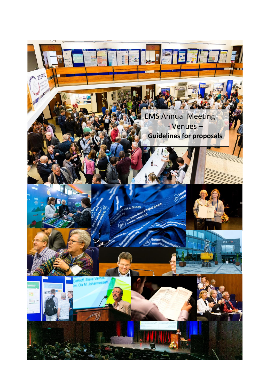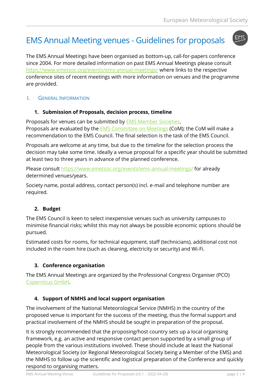EMS

# EMS Annual Meeting venues - Guidelines for proposals

The EMS Annual Meetings have been organised as bottom-up, call-for-papers conference since 2004. For more detailed information on past EMS Annual Meetings please consult <https://www.emetsoc.org/events/ems-annual-meetings/> where links to the respective conference sites of recent meetings with more information on venues and the programme are provided.

I. GENERAL INFORMATION

# **1. Submission of Proposals, decision process, timeline**

Proposals for venues can be submitted by [EMS Member Societies.](https://www.emetsoc.org/members/member-category/ems-member-societies/) Proposals are evaluated by the [EMS Committee on Meetings](http://www.emetsoc.org/about-ems/project-teams-committees/meetings/) (CoM); the CoM will make a recommendation to the EMS Council. The final selection is the task of the EMS Council.

Proposals are welcome at any time, but due to the timeline for the selection process the decision may take some time. Ideally a venue proposal for a specific year should be submitted at least two to three years in advance of the planned conference.

Please consult<https://www.emetsoc.org/events/ems-annual-meetings/> for already determined venues/years.

Society name, postal address, contact person(s) incl. e-mail and telephone number are required.

# **2. Budget**

The EMS Council is keen to select inexpensive venues such as university campuses to minimise financial risks; whilst this may not always be possible economic options should be pursued.

Estimated costs for rooms, for technical equipment, staff (technicians), additional cost not included in the room hire (such as cleaning, electricity or security) and Wi-Fi.

# **3. Conference organisation**

The EMS Annual Meetings are organized by the Professional Congress Organiser (PCO) [Copernicus GmbH.](http://meetings.copernicus.org/meetings.html)

# **4. Support of NMHS and local support organisation**

The involvement of the National Meteorological Service (NMHS) in the country of the proposed venue is important for the success of the meeting, thus the formal support and practical involvement of the NMHS should be sought in preparation of the proposal.

It is strongly recommended that the proposing/host country sets up a local organising framework, e.g. an active and responsive contact person supported by a small group of people from the various institutions involved. These should include at least the National Meteorological Society (or Regional Meteorological Society being a Member of the EMS) and the NMHS to follow up the scientific and logistical preparation of the Conference and quickly respond to organising matters.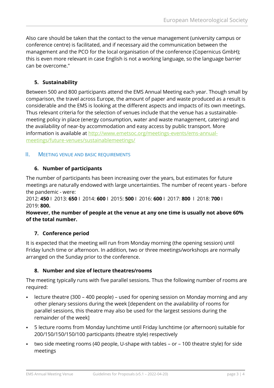Also care should be taken that the contact to the venue management (university campus or conference centre) is facilitated, and if necessary aid the communication between the management and the PCO for the local organisation of the conference (Copernicus GmbH); this is even more relevant in case English is not a working language, so the language barrier can be overcome."

# **5. Sustainability**

Between 500 and 800 participants attend the EMS Annual Meeting each year. Though small by comparison, the travel across Europe, the amount of paper and waste produced as a result is considerable and the EMS is looking at the different aspects and impacts of its own meetings. Thus relevant criteria for the selection of venues include that the venue has a sustainablemeeting policy in place (energy consumption, water and waste management, catering) and the availability of near-by accommodation and easy access by public transport. More information is available at [http://www.emetsoc.org/meetings-events/ems-annual](http://www.emetsoc.org/meetings-events/ems-annual-meetings/future-venues/sustainablemeetings/)[meetings/future-venues/sustainablemeetings/](http://www.emetsoc.org/meetings-events/ems-annual-meetings/future-venues/sustainablemeetings/)

## II. MEETING VENUE AND BASIC REQUIREMENTS

## **6. Number of participants**

The number of participants has been increasing over the years, but estimates for future meetings are naturally endowed with large uncertainties. The number of recent years - before the pandemic - were:

2012: **450** I 2013: **650** I 2014: **600** I 2015: **500** I 2016: **600** I 2017: **800** I 2018: **700** I 2019: **800.**

#### **However, the number of people at the venue at any one time is usually not above 60% of the total number.**

# **7. Conference period**

It is expected that the meeting will run from Monday morning (the opening session) until Friday lunch time or afternoon. In addition, two or three meetings/workshops are normally arranged on the Sunday prior to the conference.

# **8. Number and size of lecture theatres/rooms**

The meeting typically runs with five parallel sessions. Thus the following number of rooms are required:

- lecture theatre (300 400 people) used for opening session on Monday morning and any other plenary sessions during the week [dependent on the availability of rooms for parallel sessions, this theatre may also be used for the largest sessions during the remainder of the week]
- 5 lecture rooms from Monday lunchtime until Friday lunchtime (or afternoon) suitable for 200/150/150/150/100 participants (theatre style) respectively
- two side meeting rooms (40 people, U-shape with tables or 100 theatre style) for side meetings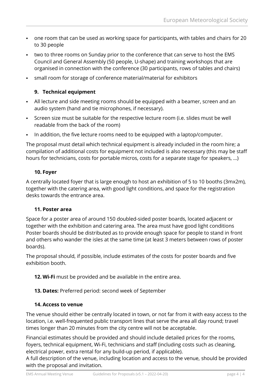- one room that can be used as working space for participants, with tables and chairs for 20 to 30 people
- two to three rooms on Sunday prior to the conference that can serve to host the EMS Council and General Assembly (50 people, U-shape) and training workshops that are organised in connection with the conference (30 participants, rows of tables and chairs)
- small room for storage of conference material/material for exhibitors

## **9. Technical equipment**

- All lecture and side meeting rooms should be equipped with a beamer, screen and an audio system (hand and tie microphones, if necessary).
- Screen size must be suitable for the respective lecture room (i.e. slides must be well readable from the back of the room)
- In addition, the five lecture rooms need to be equipped with a laptop/computer.

The proposal must detail which technical equipment is already included in the room hire; a compilation of additional costs for equipment not included is also necessary (this may be staff hours for technicians, costs for portable micros, costs for a separate stage for speakers, …)

#### **10. Foyer**

A centrally located foyer that is large enough to host an exhibition of 5 to 10 booths (3mx2m), together with the catering area, with good light conditions, and space for the registration desks towards the entrance area.

#### **11. Poster area**

Space for a poster area of around 150 doubled-sided poster boards, located adjacent or together with the exhibition and catering area. The area must have good light conditions Poster boards should be distributed as to provide enough space for people to stand in front and others who wander the isles at the same time (at least 3 meters between rows of poster boards).

The proposal should, if possible, include estimates of the costs for poster boards and five exhibition booth.

- **12. Wi-Fi** must be provided and be available in the entire area.
- **13. Dates:** Preferred period: second week of September

#### **14. Access to venue**

The venue should either be centrally located in town, or not far from it with easy access to the location, i.e. well-frequented public transport lines that serve the area all day round; travel times longer than 20 minutes from the city centre will not be acceptable.

Financial estimates should be provided and should include detailed prices for the rooms, foyers, technical equipment, Wi-Fi, technicians and staff (including costs such as cleaning, electrical power, extra rental for any build-up period, if applicable).

A full description of the venue, including location and access to the venue, should be provided with the proposal and invitation.